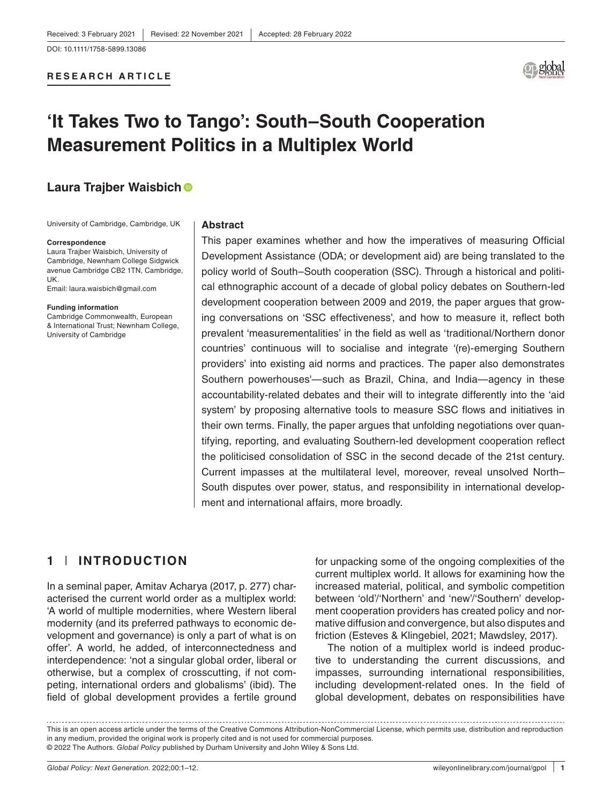DOI: 10.1111/1758-5899.13086

#### **RESEARCH ARTICLE**



# **'It Takes Two to Tango': South–South Cooperation Measurement Politics in a Multiplex World**

# **Laura Trajber Waisbich**

University of Cambridge, Cambridge, UK

#### **Correspondence**

Laura Trajber Waisbich, University of Cambridge, Newnham College Sidgwick avenue Cambridge CB2 1TN, Cambridge, UK.

Email: [laura.waisbich@gmail.com](mailto:laura.waisbich@gmail.com)

#### **Funding information**

Cambridge Commonwealth, European & International Trust; Newnham College, University of Cambridge

#### **Abstract**

This paper examines whether and how the imperatives of measuring Official Development Assistance (ODA; or development aid) are being translated to the policy world of South–South cooperation (SSC). Through a historical and political ethnographic account of a decade of global policy debates on Southern-led development cooperation between 2009 and 2019, the paper argues that growing conversations on 'SSC effectiveness', and how to measure it, reflect both prevalent 'measurementalities' in the field as well as 'traditional/Northern donor countries' continuous will to socialise and integrate '(re)-emerging Southern providers' into existing aid norms and practices. The paper also demonstrates Southern powerhouses'—such as Brazil, China, and India—agency in these accountability-related debates and their will to integrate differently into the 'aid system' by proposing alternative tools to measure SSC flows and initiatives in their own terms. Finally, the paper argues that unfolding negotiations over quantifying, reporting, and evaluating Southern-led development cooperation reflect the politicised consolidation of SSC in the second decade of the 21st century. Current impasses at the multilateral level, moreover, reveal unsolved North– South disputes over power, status, and responsibility in international development and international affairs, more broadly.

## **1** | **INTRODUCTION**

In a seminal paper, Amitav Acharya (2017, p. 277) characterised the current world order as a multiplex world: 'A world of multiple modernities, where Western liberal modernity (and its preferred pathways to economic development and governance) is only a part of what is on offer'. A world, he added, of interconnectedness and interdependence: 'not a singular global order, liberal or otherwise, but a complex of crosscutting, if not competing, international orders and globalisms' (ibid). The field of global development provides a fertile ground for unpacking some of the ongoing complexities of the current multiplex world. It allows for examining how the increased material, political, and symbolic competition between 'old'/'Northern' and 'new'/'Southern' development cooperation providers has created policy and normative diffusion and convergence, but also disputes and friction (Esteves & Klingebiel, 2021; Mawdsley, 2017).

The notion of a multiplex world is indeed productive to understanding the current discussions, and impasses, surrounding international responsibilities, including development-related ones. In the field of global development, debates on responsibilities have

This is an open access article under the terms of the [Creative Commons Attribution-NonCommercial](http://creativecommons.org/licenses/by-nc/4.0/) License, which permits use, distribution and reproduction in any medium, provided the original work is properly cited and is not used for commercial purposes. © 2022 The Authors. *Global Policy* published by Durham University and John Wiley & Sons Ltd.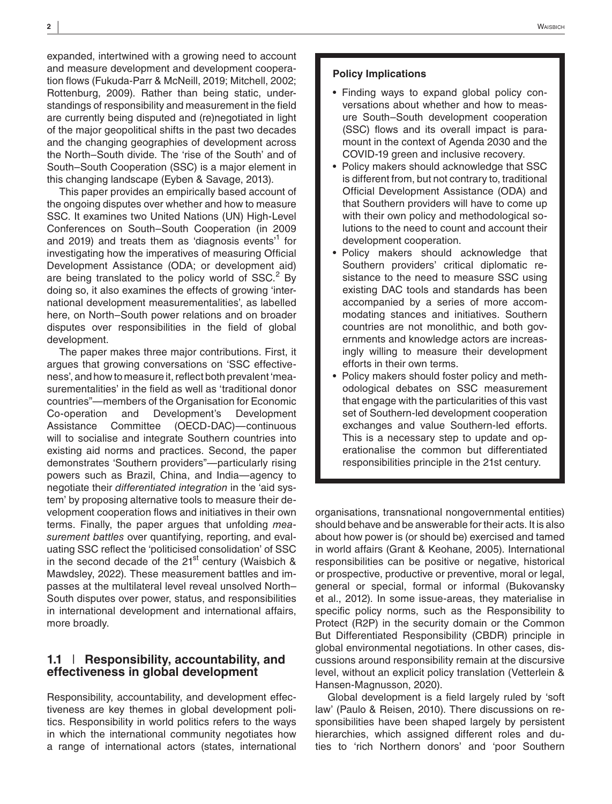expanded, intertwined with a growing need to account and measure development and development cooperation flows (Fukuda-Parr & McNeill, 2019; Mitchell, 2002; Rottenburg, 2009). Rather than being static, understandings of responsibility and measurement in the field are currently being disputed and (re)negotiated in light of the major geopolitical shifts in the past two decades and the changing geographies of development across the North–South divide. The 'rise of the South' and of South–South Cooperation (SSC) is a major element in this changing landscape (Eyben & Savage, 2013).

This paper provides an empirically based account of the ongoing disputes over whether and how to measure SSC. It examines two United Nations (UN) High-Level Conferences on South–South Cooperation (in 2009 and 2019) and treats them as 'diagnosis events'<sup>1</sup> for investigating how the imperatives of measuring Official Development Assistance (ODA; or development aid) are being translated to the policy world of SSC.<sup>2</sup> By doing so, it also examines the effects of growing 'international development measurementalities', as labelled here, on North–South power relations and on broader disputes over responsibilities in the field of global development.

The paper makes three major contributions. First, it argues that growing conversations on 'SSC effectiveness', and how to measure it, reflect both prevalent 'measurementalities' in the field as well as 'traditional donor countries"—members of the Organisation for Economic Co-operation and Development's Development Assistance Committee (OECD-DAC)—continuous will to socialise and integrate Southern countries into existing aid norms and practices. Second, the paper demonstrates 'Southern providers"—particularly rising powers such as Brazil, China, and India—agency to negotiate their *differentiated integration* in the 'aid system' by proposing alternative tools to measure their development cooperation flows and initiatives in their own terms. Finally, the paper argues that unfolding *measurement battles* over quantifying, reporting, and evaluating SSC reflect the 'politicised consolidation' of SSC in the second decade of the  $21<sup>st</sup>$  century (Waisbich & Mawdsley, 2022). These measurement battles and impasses at the multilateral level reveal unsolved North– South disputes over power, status, and responsibilities in international development and international affairs, more broadly.

## **1.1** | **Responsibility, accountability, and effectiveness in global development**

Responsibility, accountability, and development effectiveness are key themes in global development politics. Responsibility in world politics refers to the ways in which the international community negotiates how a range of international actors (states, international

#### **Policy Implications**

- Finding ways to expand global policy conversations about whether and how to measure South–South development cooperation (SSC) flows and its overall impact is paramount in the context of Agenda 2030 and the COVID-19 green and inclusive recovery.
- Policy makers should acknowledge that SSC is different from, but not contrary to, traditional Official Development Assistance (ODA) and that Southern providers will have to come up with their own policy and methodological solutions to the need to count and account their development cooperation.
- Policy makers should acknowledge that Southern providers' critical diplomatic resistance to the need to measure SSC using existing DAC tools and standards has been accompanied by a series of more accommodating stances and initiatives. Southern countries are not monolithic, and both governments and knowledge actors are increasingly willing to measure their development efforts in their own terms.
- Policy makers should foster policy and methodological debates on SSC measurement that engage with the particularities of this vast set of Southern-led development cooperation exchanges and value Southern-led efforts. This is a necessary step to update and operationalise the common but differentiated responsibilities principle in the 21st century.

organisations, transnational nongovernmental entities) should behave and be answerable for their acts. It is also about how power is (or should be) exercised and tamed in world affairs (Grant & Keohane, 2005). International responsibilities can be positive or negative, historical or prospective, productive or preventive, moral or legal, general or special, formal or informal (Bukovansky et al., 2012). In some issue-areas, they materialise in specific policy norms, such as the Responsibility to Protect (R2P) in the security domain or the Common But Differentiated Responsibility (CBDR) principle in global environmental negotiations. In other cases, discussions around responsibility remain at the discursive level, without an explicit policy translation (Vetterlein & Hansen-Magnusson, 2020).

Global development is a field largely ruled by 'soft law' (Paulo & Reisen, 2010). There discussions on responsibilities have been shaped largely by persistent hierarchies, which assigned different roles and duties to 'rich Northern donors' and 'poor Southern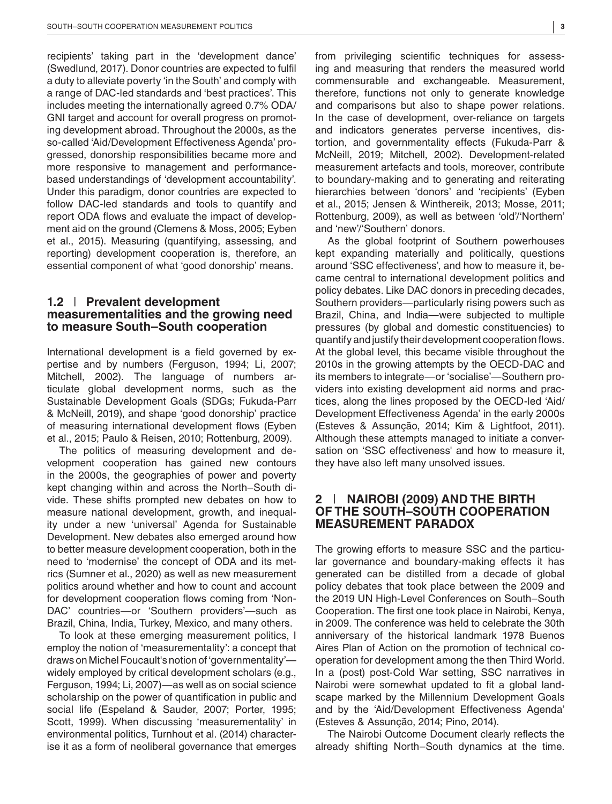recipients' taking part in the 'development dance' (Swedlund, 2017). Donor countries are expected to fulfil a duty to alleviate poverty 'in the South' and comply with a range of DAC-led standards and 'best practices'. This includes meeting the internationally agreed 0.7% ODA/ GNI target and account for overall progress on promoting development abroad. Throughout the 2000s, as the so-called 'Aid/Development Effectiveness Agenda' progressed, donorship responsibilities became more and more responsive to management and performancebased understandings of 'development accountability'. Under this paradigm, donor countries are expected to follow DAC-led standards and tools to quantify and report ODA flows and evaluate the impact of development aid on the ground (Clemens & Moss, 2005; Eyben et al., 2015). Measuring (quantifying, assessing, and reporting) development cooperation is, therefore, an essential component of what 'good donorship' means.

## **1.2** | **Prevalent development measurementalities and the growing need to measure South–South cooperation**

International development is a field governed by expertise and by numbers (Ferguson, 1994; Li, 2007; Mitchell, 2002). The language of numbers articulate global development norms, such as the Sustainable Development Goals (SDGs; Fukuda-Parr & McNeill, 2019), and shape 'good donorship' practice of measuring international development flows (Eyben et al., 2015; Paulo & Reisen, 2010; Rottenburg, 2009).

The politics of measuring development and development cooperation has gained new contours in the 2000s, the geographies of power and poverty kept changing within and across the North–South divide. These shifts prompted new debates on how to measure national development, growth, and inequality under a new 'universal' Agenda for Sustainable Development. New debates also emerged around how to better measure development cooperation, both in the need to 'modernise' the concept of ODA and its metrics (Sumner et al., 2020) as well as new measurement politics around whether and how to count and account for development cooperation flows coming from 'Non-DAC' countries—or 'Southern providers'—such as Brazil, China, India, Turkey, Mexico, and many others.

To look at these emerging measurement politics, I employ the notion of 'measurementality': a concept that draws on Michel Foucault's notion of 'governmentality' widely employed by critical development scholars (e.g., Ferguson, 1994; Li, 2007)—as well as on social science scholarship on the power of quantification in public and social life (Espeland & Sauder, 2007; Porter, 1995; Scott, 1999). When discussing 'measurementality' in environmental politics, Turnhout et al. (2014) characterise it as a form of neoliberal governance that emerges from privileging scientific techniques for assessing and measuring that renders the measured world commensurable and exchangeable. Measurement, therefore, functions not only to generate knowledge and comparisons but also to shape power relations. In the case of development, over-reliance on targets and indicators generates perverse incentives, distortion, and governmentality effects (Fukuda-Parr & McNeill, 2019; Mitchell, 2002). Development-related measurement artefacts and tools, moreover, contribute to boundary-making and to generating and reiterating hierarchies between 'donors' and 'recipients' (Eyben et al., 2015; Jensen & Winthereik, 2013; Mosse, 2011; Rottenburg, 2009), as well as between 'old'/'Northern' and 'new'/'Southern' donors.

As the global footprint of Southern powerhouses kept expanding materially and politically, questions around 'SSC effectiveness', and how to measure it, became central to international development politics and policy debates. Like DAC donors in preceding decades, Southern providers—particularly rising powers such as Brazil, China, and India—were subjected to multiple pressures (by global and domestic constituencies) to quantify and justify their development cooperation flows. At the global level, this became visible throughout the 2010s in the growing attempts by the OECD-DAC and its members to integrate—or 'socialise'—Southern providers into existing development aid norms and practices, along the lines proposed by the OECD-led 'Aid/ Development Effectiveness Agenda' in the early 2000s (Esteves & Assunção, 2014; Kim & Lightfoot, 2011). Although these attempts managed to initiate a conversation on 'SSC effectiveness' and how to measure it, they have also left many unsolved issues.

## **2** | **NAIROBI (2009) AND THE BIRTH OF THE SOUTH–SOUTH COOPERATION MEASUREMENT PARADOX**

The growing efforts to measure SSC and the particular governance and boundary-making effects it has generated can be distilled from a decade of global policy debates that took place between the 2009 and the 2019 UN High-Level Conferences on South–South Cooperation. The first one took place in Nairobi, Kenya, in 2009. The conference was held to celebrate the 30th anniversary of the historical landmark 1978 Buenos Aires Plan of Action on the promotion of technical cooperation for development among the then Third World. In a (post) post-Cold War setting, SSC narratives in Nairobi were somewhat updated to fit a global landscape marked by the Millennium Development Goals and by the 'Aid/Development Effectiveness Agenda' (Esteves & Assunção, 2014; Pino, 2014).

The Nairobi Outcome Document clearly reflects the already shifting North–South dynamics at the time.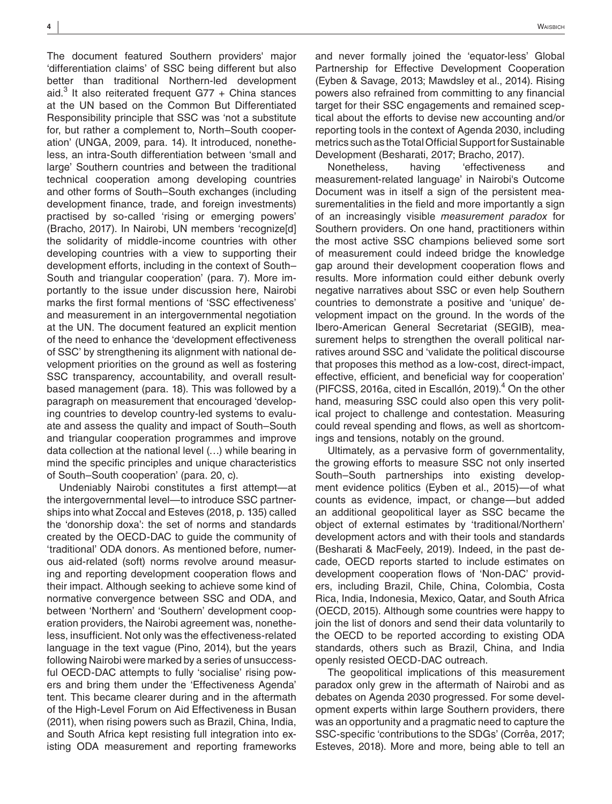The document featured Southern providers' major 'differentiation claims' of SSC being different but also better than traditional Northern-led development aid. $3$  It also reiterated frequent G77 + China stances at the UN based on the Common But Differentiated Responsibility principle that SSC was 'not a substitute for, but rather a complement to, North–South cooperation' (UNGA, 2009, para. 14). It introduced, nonetheless, an intra-South differentiation between 'small and large' Southern countries and between the traditional technical cooperation among developing countries and other forms of South–South exchanges (including development finance, trade, and foreign investments) practised by so-called 'rising or emerging powers' (Bracho, 2017). In Nairobi, UN members 'recognize[d] the solidarity of middle-income countries with other developing countries with a view to supporting their development efforts, including in the context of South– South and triangular cooperation' (para. 7). More importantly to the issue under discussion here, Nairobi marks the first formal mentions of 'SSC effectiveness' and measurement in an intergovernmental negotiation at the UN. The document featured an explicit mention of the need to enhance the 'development effectiveness of SSC' by strengthening its alignment with national development priorities on the ground as well as fostering SSC transparency, accountability, and overall resultbased management (para. 18). This was followed by a paragraph on measurement that encouraged 'developing countries to develop country-led systems to evaluate and assess the quality and impact of South–South and triangular cooperation programmes and improve data collection at the national level (…) while bearing in mind the specific principles and unique characteristics of South–South cooperation' (para. 20, c).

Undeniably Nairobi constitutes a first attempt—at the intergovernmental level—to introduce SSC partnerships into what Zoccal and Esteves (2018, p. 135) called the 'donorship doxa': the set of norms and standards created by the OECD-DAC to guide the community of 'traditional' ODA donors. As mentioned before, numerous aid-related (soft) norms revolve around measuring and reporting development cooperation flows and their impact. Although seeking to achieve some kind of normative convergence between SSC and ODA, and between 'Northern' and 'Southern' development cooperation providers, the Nairobi agreement was, nonetheless, insufficient. Not only was the effectiveness-related language in the text vague (Pino, 2014), but the years following Nairobi were marked by a series of unsuccessful OECD-DAC attempts to fully 'socialise' rising powers and bring them under the 'Effectiveness Agenda' tent. This became clearer during and in the aftermath of the High-Level Forum on Aid Effectiveness in Busan (2011), when rising powers such as Brazil, China, India, and South Africa kept resisting full integration into existing ODA measurement and reporting frameworks

and never formally joined the 'equator-less' Global Partnership for Effective Development Cooperation (Eyben & Savage, 2013; Mawdsley et al., 2014). Rising powers also refrained from committing to any financial target for their SSC engagements and remained sceptical about the efforts to devise new accounting and/or reporting tools in the context of Agenda 2030, including metrics such as the Total Official Support for Sustainable Development (Besharati, 2017; Bracho, 2017).

Nonetheless, having 'effectiveness and measurement-related language' in Nairobi's Outcome Document was in itself a sign of the persistent measurementalities in the field and more importantly a sign of an increasingly visible *measurement paradox* for Southern providers. On one hand, practitioners within the most active SSC champions believed some sort of measurement could indeed bridge the knowledge gap around their development cooperation flows and results. More information could either debunk overly negative narratives about SSC or even help Southern countries to demonstrate a positive and 'unique' development impact on the ground. In the words of the Ibero-American General Secretariat (SEGIB), measurement helps to strengthen the overall political narratives around SSC and 'validate the political discourse that proposes this method as a low-cost, direct-impact, effective, efficient, and beneficial way for cooperation' (PIFCSS, 2016a, cited in Escallón, 2019).<sup>4</sup> On the other hand, measuring SSC could also open this very political project to challenge and contestation. Measuring could reveal spending and flows, as well as shortcomings and tensions, notably on the ground.

Ultimately, as a pervasive form of governmentality, the growing efforts to measure SSC not only inserted South–South partnerships into existing development evidence politics (Eyben et al., 2015)—of what counts as evidence, impact, or change—but added an additional geopolitical layer as SSC became the object of external estimates by 'traditional/Northern' development actors and with their tools and standards (Besharati & MacFeely, 2019). Indeed, in the past decade, OECD reports started to include estimates on development cooperation flows of 'Non-DAC' providers, including Brazil, Chile, China, Colombia, Costa Rica, India, Indonesia, Mexico, Qatar, and South Africa (OECD, 2015). Although some countries were happy to join the list of donors and send their data voluntarily to the OECD to be reported according to existing ODA standards, others such as Brazil, China, and India openly resisted OECD-DAC outreach.

The geopolitical implications of this measurement paradox only grew in the aftermath of Nairobi and as debates on Agenda 2030 progressed. For some development experts within large Southern providers, there was an opportunity and a pragmatic need to capture the SSC-specific 'contributions to the SDGs' (Corrêa, 2017; Esteves, 2018). More and more, being able to tell an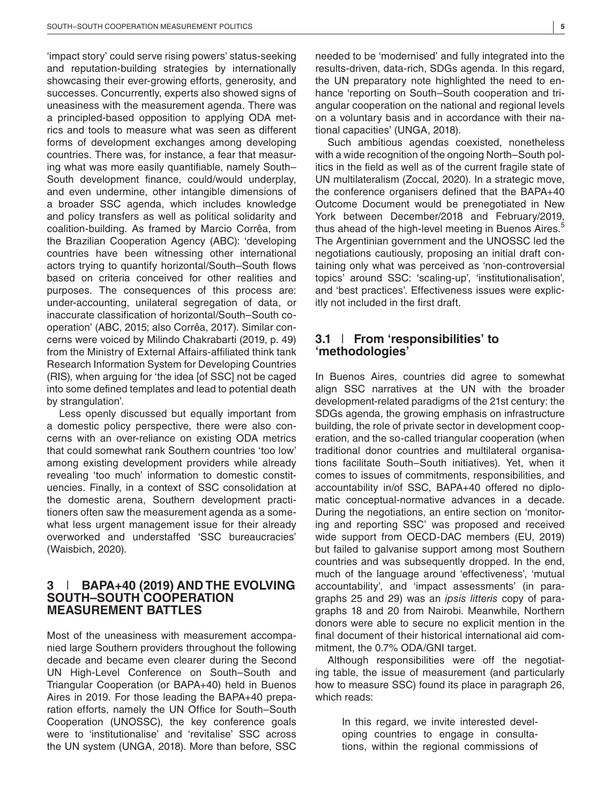'impact story' could serve rising powers' status-seeking and reputation-building strategies by internationally showcasing their ever-growing efforts, generosity, and successes. Concurrently, experts also showed signs of uneasiness with the measurement agenda. There was a principled-based opposition to applying ODA metrics and tools to measure what was seen as different forms of development exchanges among developing countries. There was, for instance, a fear that measuring what was more easily quantifiable, namely South– South development finance, could/would underplay, and even undermine, other intangible dimensions of a broader SSC agenda, which includes knowledge and policy transfers as well as political solidarity and coalition-building. As framed by Marcio Corrêa, from the Brazilian Cooperation Agency (ABC): 'developing countries have been witnessing other international actors trying to quantify horizontal/South–South flows based on criteria conceived for other realities and purposes. The consequences of this process are: under-accounting, unilateral segregation of data, or inaccurate classification of horizontal/South–South cooperation' (ABC, 2015; also Corrêa, 2017). Similar concerns were voiced by Milindo Chakrabarti (2019, p. 49) from the Ministry of External Affairs-affiliated think tank Research Information System for Developing Countries (RIS), when arguing for 'the idea [of SSC] not be caged into some defined templates and lead to potential death by strangulation'.

Less openly discussed but equally important from a domestic policy perspective, there were also concerns with an over-reliance on existing ODA metrics that could somewhat rank Southern countries 'too low' among existing development providers while already revealing 'too much' information to domestic constituencies. Finally, in a context of SSC consolidation at the domestic arena, Southern development practitioners often saw the measurement agenda as a somewhat less urgent management issue for their already overworked and understaffed 'SSC bureaucracies' (Waisbich, 2020).

## **3** | **BAPA+40 (2019) AND THE EVOLVING SOUTH–SOUTH COOPERATION MEASUREMENT BATTLES**

Most of the uneasiness with measurement accompanied large Southern providers throughout the following decade and became even clearer during the Second UN High-Level Conference on South–South and Triangular Cooperation (or BAPA+40) held in Buenos Aires in 2019. For those leading the BAPA+40 preparation efforts, namely the UN Office for South–South Cooperation (UNOSSC), the key conference goals were to 'institutionalise' and 'revitalise' SSC across the UN system (UNGA, 2018). More than before, SSC needed to be 'modernised' and fully integrated into the results-driven, data-rich, SDGs agenda. In this regard, the UN preparatory note highlighted the need to enhance 'reporting on South–South cooperation and triangular cooperation on the national and regional levels on a voluntary basis and in accordance with their national capacities' (UNGA, 2018).

Such ambitious agendas coexisted, nonetheless with a wide recognition of the ongoing North–South politics in the field as well as of the current fragile state of UN multilateralism (Zoccal, 2020). In a strategic move, the conference organisers defined that the BAPA+40 Outcome Document would be prenegotiated in New York between December/2018 and February/2019, thus ahead of the high-level meeting in Buenos Aires.<sup>5</sup> The Argentinian government and the UNOSSC led the negotiations cautiously, proposing an initial draft containing only what was perceived as 'non-controversial topics' around SSC: 'scaling-up', 'institutionalisation', and 'best practices'. Effectiveness issues were explicitly not included in the first draft.

## **3.1** | **From 'responsibilities' to 'methodologies'**

In Buenos Aires, countries did agree to somewhat align SSC narratives at the UN with the broader development-related paradigms of the 21st century: the SDGs agenda, the growing emphasis on infrastructure building, the role of private sector in development cooperation, and the so-called triangular cooperation (when traditional donor countries and multilateral organisations facilitate South–South initiatives). Yet, when it comes to issues of commitments, responsibilities, and accountability in/of SSC, BAPA+40 offered no diplomatic conceptual-normative advances in a decade. During the negotiations, an entire section on 'monitoring and reporting SSC' was proposed and received wide support from OECD-DAC members (EU, 2019) but failed to galvanise support among most Southern countries and was subsequently dropped. In the end, much of the language around 'effectiveness', 'mutual accountability', and 'impact assessments' (in paragraphs 25 and 29) was an *ipsis litteris* copy of paragraphs 18 and 20 from Nairobi. Meanwhile, Northern donors were able to secure no explicit mention in the final document of their historical international aid commitment, the 0.7% ODA/GNI target.

Although responsibilities were off the negotiating table, the issue of measurement (and particularly how to measure SSC) found its place in paragraph 26, which reads:

> In this regard, we invite interested developing countries to engage in consultations, within the regional commissions of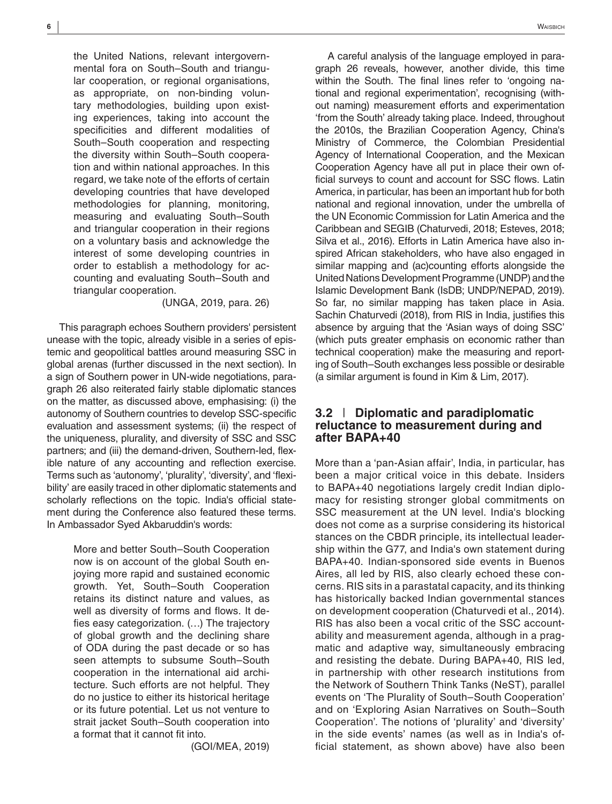the United Nations, relevant intergovernmental fora on South–South and triangular cooperation, or regional organisations, as appropriate, on non-binding voluntary methodologies, building upon existing experiences, taking into account the specificities and different modalities of South–South cooperation and respecting the diversity within South–South cooperation and within national approaches. In this regard, we take note of the efforts of certain developing countries that have developed methodologies for planning, monitoring, measuring and evaluating South–South and triangular cooperation in their regions on a voluntary basis and acknowledge the interest of some developing countries in order to establish a methodology for accounting and evaluating South–South and triangular cooperation.

(UNGA, 2019, para. 26)

This paragraph echoes Southern providers' persistent unease with the topic, already visible in a series of epistemic and geopolitical battles around measuring SSC in global arenas (further discussed in the next section). In a sign of Southern power in UN-wide negotiations, paragraph 26 also reiterated fairly stable diplomatic stances on the matter, as discussed above, emphasising: (i) the autonomy of Southern countries to develop SSC-specific evaluation and assessment systems; (ii) the respect of the uniqueness, plurality, and diversity of SSC and SSC partners; and (iii) the demand-driven, Southern-led, flexible nature of any accounting and reflection exercise. Terms such as 'autonomy', 'plurality', 'diversity', and 'flexibility' are easily traced in other diplomatic statements and scholarly reflections on the topic. India's official statement during the Conference also featured these terms. In Ambassador Syed Akbaruddin's words:

> More and better South–South Cooperation now is on account of the global South enjoying more rapid and sustained economic growth. Yet, South–South Cooperation retains its distinct nature and values, as well as diversity of forms and flows. It defies easy categorization. (…) The trajectory of global growth and the declining share of ODA during the past decade or so has seen attempts to subsume South–South cooperation in the international aid architecture. Such efforts are not helpful. They do no justice to either its historical heritage or its future potential. Let us not venture to strait jacket South–South cooperation into a format that it cannot fit into.

> > (GOI/MEA, 2019)

A careful analysis of the language employed in paragraph 26 reveals, however, another divide, this time within the South. The final lines refer to 'ongoing national and regional experimentation', recognising (without naming) measurement efforts and experimentation 'from the South' already taking place. Indeed, throughout the 2010s, the Brazilian Cooperation Agency, China's Ministry of Commerce, the Colombian Presidential Agency of International Cooperation, and the Mexican Cooperation Agency have all put in place their own official surveys to count and account for SSC flows. Latin America, in particular, has been an important hub for both national and regional innovation, under the umbrella of the UN Economic Commission for Latin America and the Caribbean and SEGIB (Chaturvedi, 2018; Esteves, 2018; Silva et al., 2016). Efforts in Latin America have also inspired African stakeholders, who have also engaged in similar mapping and (ac)counting efforts alongside the United Nations Development Programme (UNDP) and the Islamic Development Bank (IsDB; UNDP/NEPAD, 2019). So far, no similar mapping has taken place in Asia. Sachin Chaturvedi (2018), from RIS in India, justifies this absence by arguing that the 'Asian ways of doing SSC' (which puts greater emphasis on economic rather than technical cooperation) make the measuring and reporting of South–South exchanges less possible or desirable (a similar argument is found in Kim & Lim, 2017).

## **3.2** | **Diplomatic and paradiplomatic reluctance to measurement during and after BAPA+40**

More than a 'pan-Asian affair', India, in particular, has been a major critical voice in this debate. Insiders to BAPA+40 negotiations largely credit Indian diplomacy for resisting stronger global commitments on SSC measurement at the UN level. India's blocking does not come as a surprise considering its historical stances on the CBDR principle, its intellectual leadership within the G77, and India's own statement during BAPA+40. Indian-sponsored side events in Buenos Aires, all led by RIS, also clearly echoed these concerns. RIS sits in a parastatal capacity, and its thinking has historically backed Indian governmental stances on development cooperation (Chaturvedi et al., 2014). RIS has also been a vocal critic of the SSC accountability and measurement agenda, although in a pragmatic and adaptive way, simultaneously embracing and resisting the debate. During BAPA+40, RIS led, in partnership with other research institutions from the Network of Southern Think Tanks (NeST), parallel events on 'The Plurality of South–South Cooperation' and on 'Exploring Asian Narratives on South–South Cooperation'. The notions of 'plurality' and 'diversity' in the side events' names (as well as in India's official statement, as shown above) have also been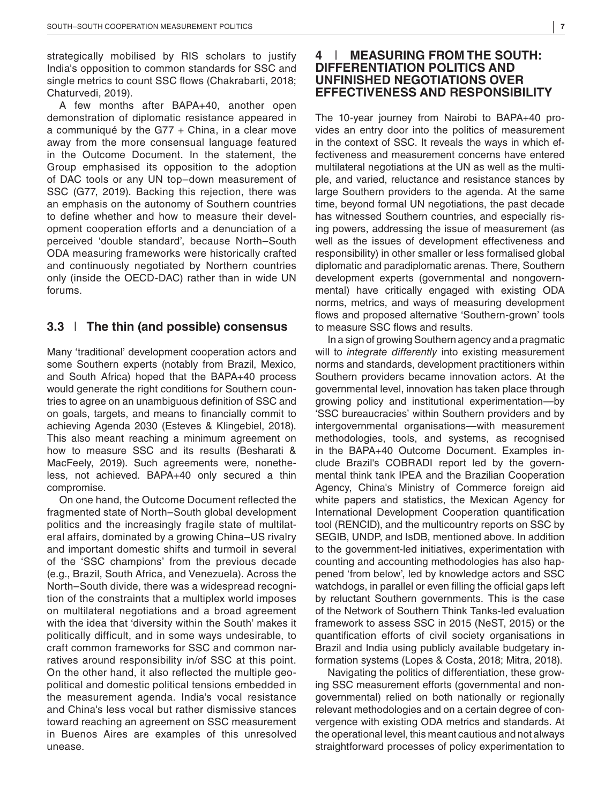strategically mobilised by RIS scholars to justify India's opposition to common standards for SSC and single metrics to count SSC flows (Chakrabarti, 2018; Chaturvedi, 2019).

A few months after BAPA+40, another open demonstration of diplomatic resistance appeared in a communiqué by the G77  $+$  China, in a clear move away from the more consensual language featured in the Outcome Document. In the statement, the Group emphasised its opposition to the adoption of DAC tools or any UN top–down measurement of SSC (G77, 2019). Backing this rejection, there was an emphasis on the autonomy of Southern countries to define whether and how to measure their development cooperation efforts and a denunciation of a perceived 'double standard', because North–South ODA measuring frameworks were historically crafted and continuously negotiated by Northern countries only (inside the OECD-DAC) rather than in wide UN forums.

#### **3.3** | **The thin (and possible) consensus**

Many 'traditional' development cooperation actors and some Southern experts (notably from Brazil, Mexico, and South Africa) hoped that the BAPA+40 process would generate the right conditions for Southern countries to agree on an unambiguous definition of SSC and on goals, targets, and means to financially commit to achieving Agenda 2030 (Esteves & Klingebiel, 2018). This also meant reaching a minimum agreement on how to measure SSC and its results (Besharati & MacFeely, 2019). Such agreements were, nonetheless, not achieved. BAPA+40 only secured a thin compromise.

On one hand, the Outcome Document reflected the fragmented state of North–South global development politics and the increasingly fragile state of multilateral affairs, dominated by a growing China–US rivalry and important domestic shifts and turmoil in several of the 'SSC champions' from the previous decade (e.g., Brazil, South Africa, and Venezuela). Across the North–South divide, there was a widespread recognition of the constraints that a multiplex world imposes on multilateral negotiations and a broad agreement with the idea that 'diversity within the South' makes it politically difficult, and in some ways undesirable, to craft common frameworks for SSC and common narratives around responsibility in/of SSC at this point. On the other hand, it also reflected the multiple geopolitical and domestic political tensions embedded in the measurement agenda. India's vocal resistance and China's less vocal but rather dismissive stances toward reaching an agreement on SSC measurement in Buenos Aires are examples of this unresolved unease.

## **4** | **MEASURING FROM THE SOUTH: DIFFERENTIATION POLITICS AND UNFINISHED NEGOTIATIONS OVER EFFECTIVENESS AND RESPONSIBILITY**

The 10-year journey from Nairobi to BAPA+40 provides an entry door into the politics of measurement in the context of SSC. It reveals the ways in which effectiveness and measurement concerns have entered multilateral negotiations at the UN as well as the multiple, and varied, reluctance and resistance stances by large Southern providers to the agenda. At the same time, beyond formal UN negotiations, the past decade has witnessed Southern countries, and especially rising powers, addressing the issue of measurement (as well as the issues of development effectiveness and responsibility) in other smaller or less formalised global diplomatic and paradiplomatic arenas. There, Southern development experts (governmental and nongovernmental) have critically engaged with existing ODA norms, metrics, and ways of measuring development flows and proposed alternative 'Southern-grown' tools to measure SSC flows and results.

In a sign of growing Southern agency and a pragmatic will to *integrate differently* into existing measurement norms and standards, development practitioners within Southern providers became innovation actors. At the governmental level, innovation has taken place through growing policy and institutional experimentation—by 'SSC bureaucracies' within Southern providers and by intergovernmental organisations—with measurement methodologies, tools, and systems, as recognised in the BAPA+40 Outcome Document. Examples include Brazil's COBRADI report led by the governmental think tank IPEA and the Brazilian Cooperation Agency, China's Ministry of Commerce foreign aid white papers and statistics, the Mexican Agency for International Development Cooperation quantification tool (RENCID), and the multicountry reports on SSC by SEGIB, UNDP, and IsDB, mentioned above. In addition to the government-led initiatives, experimentation with counting and accounting methodologies has also happened 'from below', led by knowledge actors and SSC watchdogs, in parallel or even filling the official gaps left by reluctant Southern governments. This is the case of the Network of Southern Think Tanks-led evaluation framework to assess SSC in 2015 (NeST, 2015) or the quantification efforts of civil society organisations in Brazil and India using publicly available budgetary information systems (Lopes & Costa, 2018; Mitra, 2018).

Navigating the politics of differentiation, these growing SSC measurement efforts (governmental and nongovernmental) relied on both nationally or regionally relevant methodologies and on a certain degree of convergence with existing ODA metrics and standards. At the operational level, this meant cautious and not always straightforward processes of policy experimentation to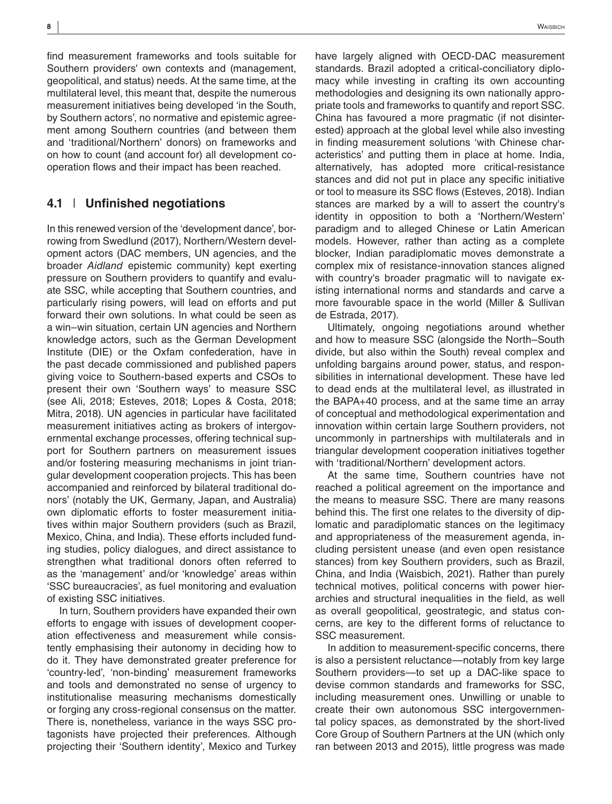find measurement frameworks and tools suitable for Southern providers' own contexts and (management, geopolitical, and status) needs. At the same time, at the multilateral level, this meant that, despite the numerous measurement initiatives being developed 'in the South, by Southern actors', no normative and epistemic agreement among Southern countries (and between them and 'traditional/Northern' donors) on frameworks and on how to count (and account for) all development cooperation flows and their impact has been reached.

## **4.1** | **Unfinished negotiations**

In this renewed version of the 'development dance', borrowing from Swedlund (2017), Northern/Western development actors (DAC members, UN agencies, and the broader *Aidland* epistemic community) kept exerting pressure on Southern providers to quantify and evaluate SSC, while accepting that Southern countries, and particularly rising powers, will lead on efforts and put forward their own solutions. In what could be seen as a win–win situation, certain UN agencies and Northern knowledge actors, such as the German Development Institute (DIE) or the Oxfam confederation, have in the past decade commissioned and published papers giving voice to Southern-based experts and CSOs to present their own 'Southern ways' to measure SSC (see Ali, 2018; Esteves, 2018; Lopes & Costa, 2018; Mitra, 2018). UN agencies in particular have facilitated measurement initiatives acting as brokers of intergovernmental exchange processes, offering technical support for Southern partners on measurement issues and/or fostering measuring mechanisms in joint triangular development cooperation projects. This has been accompanied and reinforced by bilateral traditional donors' (notably the UK, Germany, Japan, and Australia) own diplomatic efforts to foster measurement initiatives within major Southern providers (such as Brazil, Mexico, China, and India). These efforts included funding studies, policy dialogues, and direct assistance to strengthen what traditional donors often referred to as the 'management' and/or 'knowledge' areas within 'SSC bureaucracies', as fuel monitoring and evaluation of existing SSC initiatives.

In turn, Southern providers have expanded their own efforts to engage with issues of development cooperation effectiveness and measurement while consistently emphasising their autonomy in deciding how to do it. They have demonstrated greater preference for 'country-led', 'non-binding' measurement frameworks and tools and demonstrated no sense of urgency to institutionalise measuring mechanisms domestically or forging any cross-regional consensus on the matter. There is, nonetheless, variance in the ways SSC protagonists have projected their preferences. Although projecting their 'Southern identity', Mexico and Turkey

have largely aligned with OECD-DAC measurement standards. Brazil adopted a critical-conciliatory diplomacy while investing in crafting its own accounting methodologies and designing its own nationally appropriate tools and frameworks to quantify and report SSC. China has favoured a more pragmatic (if not disinterested) approach at the global level while also investing in finding measurement solutions 'with Chinese characteristics' and putting them in place at home. India, alternatively, has adopted more critical-resistance stances and did not put in place any specific initiative or tool to measure its SSC flows (Esteves, 2018). Indian stances are marked by a will to assert the country's identity in opposition to both a 'Northern/Western' paradigm and to alleged Chinese or Latin American models. However, rather than acting as a complete blocker, Indian paradiplomatic moves demonstrate a complex mix of resistance-innovation stances aligned with country's broader pragmatic will to navigate existing international norms and standards and carve a more favourable space in the world (Miller & Sullivan de Estrada, 2017).

Ultimately, ongoing negotiations around whether and how to measure SSC (alongside the North–South divide, but also within the South) reveal complex and unfolding bargains around power, status, and responsibilities in international development. These have led to dead ends at the multilateral level, as illustrated in the BAPA+40 process, and at the same time an array of conceptual and methodological experimentation and innovation within certain large Southern providers, not uncommonly in partnerships with multilaterals and in triangular development cooperation initiatives together with 'traditional/Northern' development actors.

At the same time, Southern countries have not reached a political agreement on the importance and the means to measure SSC. There are many reasons behind this. The first one relates to the diversity of diplomatic and paradiplomatic stances on the legitimacy and appropriateness of the measurement agenda, including persistent unease (and even open resistance stances) from key Southern providers, such as Brazil, China, and India (Waisbich, 2021). Rather than purely technical motives, political concerns with power hierarchies and structural inequalities in the field, as well as overall geopolitical, geostrategic, and status concerns, are key to the different forms of reluctance to SSC measurement.

In addition to measurement-specific concerns, there is also a persistent reluctance—notably from key large Southern providers—to set up a DAC-like space to devise common standards and frameworks for SSC, including measurement ones. Unwilling or unable to create their own autonomous SSC intergovernmental policy spaces, as demonstrated by the short-lived Core Group of Southern Partners at the UN (which only ran between 2013 and 2015), little progress was made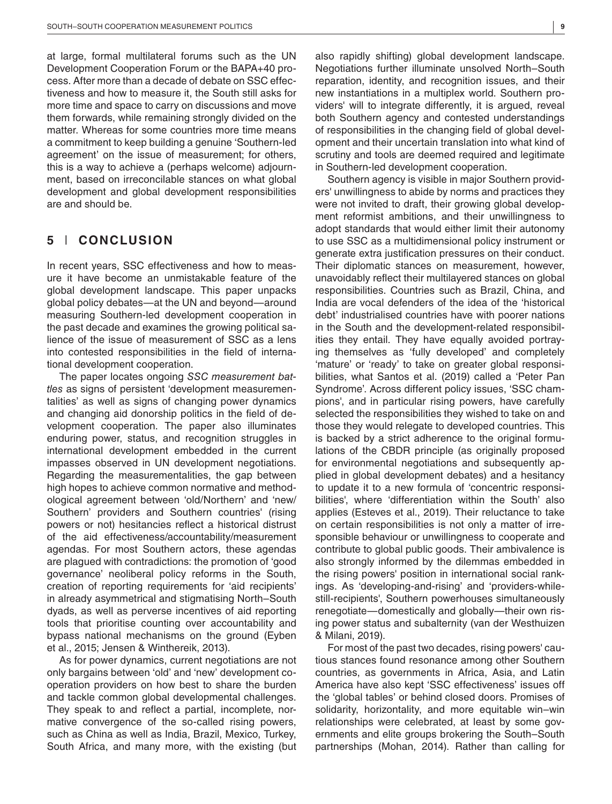at large, formal multilateral forums such as the UN Development Cooperation Forum or the BAPA+40 process. After more than a decade of debate on SSC effectiveness and how to measure it, the South still asks for more time and space to carry on discussions and move them forwards, while remaining strongly divided on the matter. Whereas for some countries more time means a commitment to keep building a genuine 'Southern-led agreement' on the issue of measurement; for others, this is a way to achieve a (perhaps welcome) adjournment, based on irreconcilable stances on what global development and global development responsibilities are and should be.

## **5** | **CONCLUSION**

In recent years, SSC effectiveness and how to measure it have become an unmistakable feature of the global development landscape. This paper unpacks global policy debates—at the UN and beyond—around measuring Southern-led development cooperation in the past decade and examines the growing political salience of the issue of measurement of SSC as a lens into contested responsibilities in the field of international development cooperation.

The paper locates ongoing *SSC measurement battles* as signs of persistent 'development measurementalities' as well as signs of changing power dynamics and changing aid donorship politics in the field of development cooperation. The paper also illuminates enduring power, status, and recognition struggles in international development embedded in the current impasses observed in UN development negotiations. Regarding the measurementalities, the gap between high hopes to achieve common normative and methodological agreement between 'old/Northern' and 'new/ Southern' providers and Southern countries' (rising powers or not) hesitancies reflect a historical distrust of the aid effectiveness/accountability/measurement agendas. For most Southern actors, these agendas are plagued with contradictions: the promotion of 'good governance' neoliberal policy reforms in the South, creation of reporting requirements for 'aid recipients' in already asymmetrical and stigmatising North–South dyads, as well as perverse incentives of aid reporting tools that prioritise counting over accountability and bypass national mechanisms on the ground (Eyben et al., 2015; Jensen & Winthereik, 2013).

As for power dynamics, current negotiations are not only bargains between 'old' and 'new' development cooperation providers on how best to share the burden and tackle common global developmental challenges. They speak to and reflect a partial, incomplete, normative convergence of the so-called rising powers, such as China as well as India, Brazil, Mexico, Turkey, South Africa, and many more, with the existing (but

also rapidly shifting) global development landscape. Negotiations further illuminate unsolved North–South reparation, identity, and recognition issues, and their new instantiations in a multiplex world. Southern providers' will to integrate differently, it is argued, reveal both Southern agency and contested understandings of responsibilities in the changing field of global development and their uncertain translation into what kind of scrutiny and tools are deemed required and legitimate in Southern-led development cooperation.

Southern agency is visible in major Southern providers' unwillingness to abide by norms and practices they were not invited to draft, their growing global development reformist ambitions, and their unwillingness to adopt standards that would either limit their autonomy to use SSC as a multidimensional policy instrument or generate extra justification pressures on their conduct. Their diplomatic stances on measurement, however, unavoidably reflect their multilayered stances on global responsibilities. Countries such as Brazil, China, and India are vocal defenders of the idea of the 'historical debt' industrialised countries have with poorer nations in the South and the development-related responsibilities they entail. They have equally avoided portraying themselves as 'fully developed' and completely 'mature' or 'ready' to take on greater global responsibilities, what Santos et al. (2019) called a 'Peter Pan Syndrome'. Across different policy issues, 'SSC champions', and in particular rising powers, have carefully selected the responsibilities they wished to take on and those they would relegate to developed countries. This is backed by a strict adherence to the original formulations of the CBDR principle (as originally proposed for environmental negotiations and subsequently applied in global development debates) and a hesitancy to update it to a new formula of 'concentric responsibilities', where 'differentiation within the South' also applies (Esteves et al., 2019). Their reluctance to take on certain responsibilities is not only a matter of irresponsible behaviour or unwillingness to cooperate and contribute to global public goods. Their ambivalence is also strongly informed by the dilemmas embedded in the rising powers' position in international social rankings. As 'developing-and-rising' and 'providers-whilestill-recipients', Southern powerhouses simultaneously renegotiate—domestically and globally—their own rising power status and subalternity (van der Westhuizen & Milani, 2019).

For most of the past two decades, rising powers' cautious stances found resonance among other Southern countries, as governments in Africa, Asia, and Latin America have also kept 'SSC effectiveness' issues off the 'global tables' or behind closed doors. Promises of solidarity, horizontality, and more equitable win–win relationships were celebrated, at least by some governments and elite groups brokering the South–South partnerships (Mohan, 2014). Rather than calling for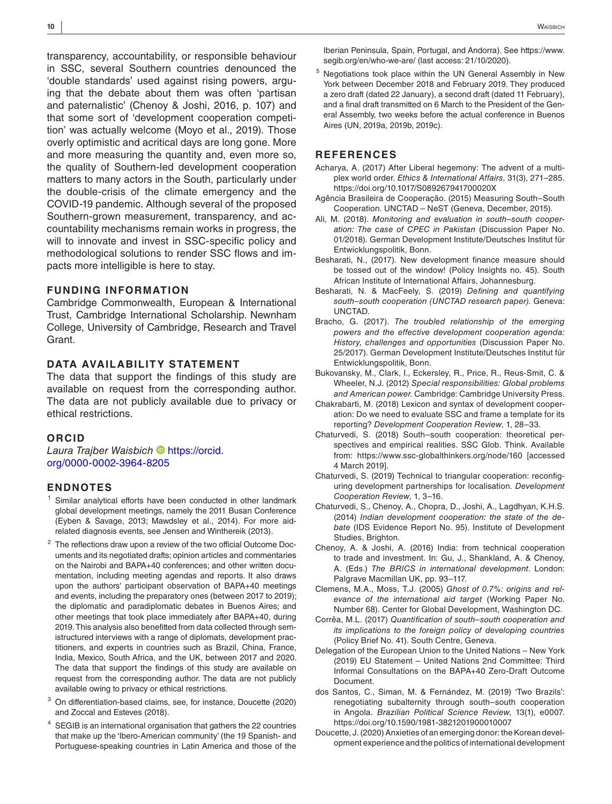transparency, accountability, or responsible behaviour in SSC, several Southern countries denounced the 'double standards' used against rising powers, arguing that the debate about them was often 'partisan and paternalistic' (Chenoy & Joshi, 2016, p. 107) and that some sort of 'development cooperation competition' was actually welcome (Moyo et al., 2019). Those overly optimistic and acritical days are long gone. More and more measuring the quantity and, even more so, the quality of Southern-led development cooperation matters to many actors in the South, particularly under the double-crisis of the climate emergency and the COVID-19 pandemic. Although several of the proposed Southern-grown measurement, transparency, and accountability mechanisms remain works in progress, the will to innovate and invest in SSC-specific policy and methodological solutions to render SSC flows and impacts more intelligible is here to stay.

#### **FUNDING INFORMATION**

Cambridge Commonwealth, European & International Trust, Cambridge International Scholarship. Newnham College, University of Cambridge, Research and Travel Grant.

#### **DATA AVAILABILITY STATEMENT**

The data that support the findings of this study are available on request from the corresponding author. The data are not publicly available due to privacy or ethical restrictions.

#### **ORCID**

#### *Laura Trajber Waisbich* [https://orcid.](https://orcid.org/0000-0002-3964-8205) [org/0000-0002-3964-8205](https://orcid.org/0000-0002-3964-8205)

#### **ENDNOTES**

- Similar analytical efforts have been conducted in other landmark global development meetings, namely the 2011 Busan Conference (Eyben & Savage, 2013; Mawdsley et al., 2014). For more aidrelated diagnosis events, see Jensen and Winthereik (2013).
- $2$  The reflections draw upon a review of the two official Outcome Documents and its negotiated drafts; opinion articles and commentaries on the Nairobi and BAPA+40 conferences; and other written documentation, including meeting agendas and reports. It also draws upon the authors' participant observation of BAPA+40 meetings and events, including the preparatory ones (between 2017 to 2019); the diplomatic and paradiplomatic debates in Buenos Aires; and other meetings that took place immediately after BAPA+40, during 2019. This analysis also benefitted from data collected through semistructured interviews with a range of diplomats, development practitioners, and experts in countries such as Brazil, China, France, India, Mexico, South Africa, and the UK, between 2017 and 2020. The data that support the findings of this study are available on request from the corresponding author. The data are not publicly available owing to privacy or ethical restrictions.
- <sup>3</sup> On differentiation-based claims, see, for instance, Doucette (2020) and Zoccal and Esteves (2018).
- <sup>4</sup> SEGIB is an international organisation that gathers the 22 countries that make up the 'Ibero-American community' (the 19 Spanish- and Portuguese-speaking countries in Latin America and those of the

Iberian Peninsula, Spain, Portugal, and Andorra). See [https://www.](https://www.segib.org/en/who-we-are/) [segib.org/en/who-we-are/](https://www.segib.org/en/who-we-are/) (last access: 21/10/2020).

Negotiations took place within the UN General Assembly in New York between December 2018 and February 2019. They produced a zero draft (dated 22 January), a second draft (dated 11 February), and a final draft transmitted on 6 March to the President of the General Assembly, two weeks before the actual conference in Buenos Aires (UN, 2019a, 2019b, 2019c).

#### **REFERENCES**

- Acharya, A. (2017) After Liberal hegemony: The advent of a multiplex world order. *Ethics & International Affairs*, 31(3), 271–285. <https://doi.org/10.1017/S089267941700020X>
- Agência Brasileira de Cooperação. (2015) Measuring South–South Cooperation. UNCTAD – NeST (Geneva, December, 2015).
- Ali, M. (2018). *Monitoring and evaluation in south–south cooperation: The case of CPEC in Pakistan* (Discussion Paper No. 01/2018). German Development Institute/Deutsches Institut für Entwicklungspolitik, Bonn.
- Besharati, N., (2017). New development finance measure should be tossed out of the window! (Policy Insights no. 45). South African Institute of International Affairs, Johannesburg.
- Besharati, N. & MacFeely, S. (2019) *Defining and quantifying south–south cooperation (UNCTAD research paper)*. Geneva: UNCTAD.
- Bracho, G. (2017). *The troubled relationship of the emerging powers and the effective development cooperation agenda: History, challenges and opportunities* (Discussion Paper No. 25/2017). German Development Institute/Deutsches Institut für Entwicklungspolitik, Bonn.
- Bukovansky, M., Clark, I., Eckersley, R., Price, R., Reus-Smit, C. & Wheeler, N.J. (2012) *Special responsibilities: Global problems and American power*. Cambridge: Cambridge University Press.
- Chakrabarti, M. (2018) Lexicon and syntax of development cooperation: Do we need to evaluate SSC and frame a template for its reporting? *Development Cooperation Review*, 1, 28–33.
- Chaturvedi, S. (2018) South–south cooperation: theoretical perspectives and empirical realities. SSC Glob. Think. Available from: <https://www.ssc-globalthinkers.org/node/160> [accessed 4 March 2019].
- Chaturvedi, S. (2019) Technical to triangular cooperation: reconfiguring development partnerships for localisation. *Development Cooperation Review*, 1, 3–16.
- Chaturvedi, S., Chenoy, A., Chopra, D., Joshi, A., Lagdhyan, K.H.S. (2014) *Indian development cooperation: the state of the debate* (IDS Evidence Report No. 95). Institute of Development Studies, Brighton.
- Chenoy, A. & Joshi, A. (2016) India: from technical cooperation to trade and investment. In: Gu, J., Shankland, A. & Chenoy, A. (Eds.) *The BRICS in international development*. London: Palgrave Macmillan UK, pp. 93–117.
- Clemens, M.A., Moss, T.J. (2005) *Ghost of 0.7%: origins and relevance of the international aid target* (Working Paper No. Number 68). Center for Global Development, Washington DC.
- Corrêa, M.L. (2017) *Quantification of south–south cooperation and its implications to the foreign policy of developing countries* (Policy Brief No. 41). South Centre, Geneva.
- Delegation of the European Union to the United Nations New York (2019) EU Statement – United Nations 2nd Committee: Third Informal Consultations on the BAPA+40 Zero-Draft Outcome Document.
- dos Santos, C., Siman, M. & Fernández, M. (2019) 'Two Brazils': renegotiating subalternity through south–south cooperation in Angola. *Brazilian Political Science Review*, 13(1), e0007. <https://doi.org/10.1590/1981-3821201900010007>
- Doucette, J. (2020) Anxieties of an emerging donor: the Korean development experience and the politics of international development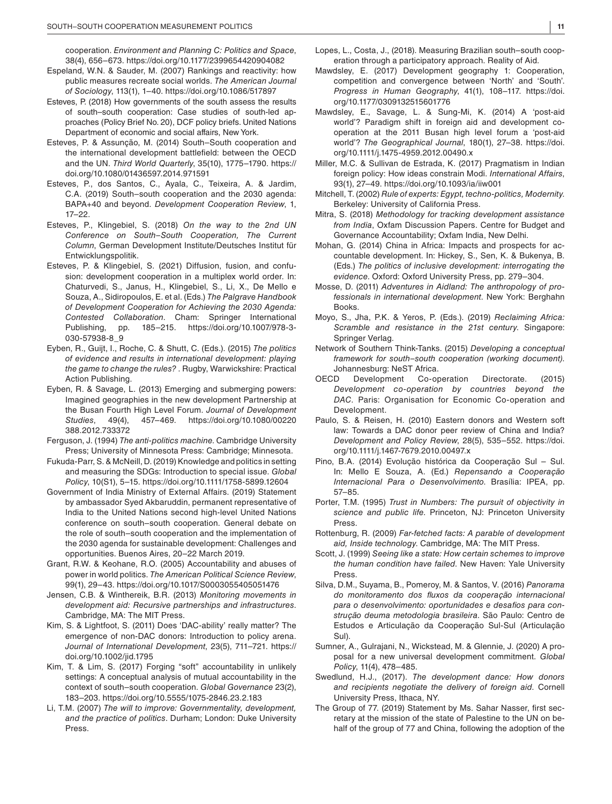cooperation. *Environment and Planning C: Politics and Space*, 38(4), 656–673.<https://doi.org/10.1177/2399654420904082>

- Espeland, W.N. & Sauder, M. (2007) Rankings and reactivity: how public measures recreate social worlds. *The American Journal of Sociology*, 113(1), 1–40.<https://doi.org/10.1086/517897>
- Esteves, P. (2018) How governments of the south assess the results of south–south cooperation: Case studies of south-led approaches (Policy Brief No. 20), DCF policy briefs. United Nations Department of economic and social affairs, New York.
- Esteves, P. & Assunção, M. (2014) South–South cooperation and the international development battlefield: between the OECD and the UN. *Third World Quarterly*, 35(10), 1775–1790. [https://](https://doi.org/10.1080/01436597.2014.971591) [doi.org/10.1080/01436597.2014.971591](https://doi.org/10.1080/01436597.2014.971591)
- Esteves, P., dos Santos, C., Ayala, C., Teixeira, A. & Jardim, C.A. (2019) South–south cooperation and the 2030 agenda: BAPA+40 and beyond. *Development Cooperation Review*, 1, 17–22.
- Esteves, P., Klingebiel, S. (2018) *On the way to the 2nd UN Conference on South–South Cooperation, The Current Column*, German Development Institute/Deutsches Institut für Entwicklungspolitik.
- Esteves, P. & Klingebiel, S. (2021) Diffusion, fusion, and confusion: development cooperation in a multiplex world order. In: Chaturvedi, S., Janus, H., Klingebiel, S., Li, X., De Mello e Souza, A., Sidiropoulos, E. et al. (Eds.) *The Palgrave Handbook of Development Cooperation for Achieving the 2030 Agenda: Contested Collaboration*. Cham: Springer International pp. 185–215. [https://doi.org/10.1007/978-3-](https://doi.org/10.1007/978-3-030-57938-8_9) [030-57938-8\\_9](https://doi.org/10.1007/978-3-030-57938-8_9)
- Eyben, R., Guijt, I., Roche, C. & Shutt, C. (Eds.). (2015) *The politics of evidence and results in international development: playing the game to change the rules?* . Rugby, Warwickshire: Practical Action Publishing.
- Eyben, R. & Savage, L. (2013) Emerging and submerging powers: Imagined geographies in the new development Partnership at the Busan Fourth High Level Forum. *Journal of Development Studies*, 49(4), 457–469. [https://doi.org/10.1080/00220](https://doi.org/10.1080/00220388.2012.733372) [388.2012.733372](https://doi.org/10.1080/00220388.2012.733372)
- Ferguson, J. (1994) *The anti-politics machine*. Cambridge University Press; University of Minnesota Press: Cambridge; Minnesota.
- Fukuda-Parr, S. & McNeill, D. (2019) Knowledge and politics in setting and measuring the SDGs: Introduction to special issue. *Global Policy*, 10(S1), 5–15. <https://doi.org/10.1111/1758-5899.12604>
- Government of India Ministry of External Affairs. (2019) Statement by ambassador Syed Akbaruddin, permanent representative of India to the United Nations second high-level United Nations conference on south–south cooperation. General debate on the role of south–south cooperation and the implementation of the 2030 agenda for sustainable development: Challenges and opportunities. Buenos Aires, 20–22 March 2019.
- Grant, R.W. & Keohane, R.O. (2005) Accountability and abuses of power in world politics. *The American Political Science Review*, 99(1), 29–43. <https://doi.org/10.1017/S0003055405051476>
- Jensen, C.B. & Winthereik, B.R. (2013) *Monitoring movements in development aid: Recursive partnerships and infrastructures*. Cambridge, MA: The MIT Press.
- Kim, S. & Lightfoot, S. (2011) Does 'DAC-ability' really matter? The emergence of non-DAC donors: Introduction to policy arena. *Journal of International Development*, 23(5), 711–721. [https://](https://doi.org/10.1002/jid.1795) [doi.org/10.1002/jid.1795](https://doi.org/10.1002/jid.1795)
- Kim, T. & Lim, S. (2017) Forging "soft" accountability in unlikely settings: A conceptual analysis of mutual accountability in the context of south–south cooperation. *Global Governance* 23(2), 183–203.<https://doi.org/10.5555/1075-2846.23.2.183>
- Li, T.M. (2007) *The will to improve: Governmentality, development, and the practice of politics*. Durham; London: Duke University Press.
- Mawdsley, E. (2017) Development geography 1: Cooperation, competition and convergence between 'North' and 'South'. *Progress in Human Geography*, 41(1), 108–117. [https://doi.](https://doi.org/10.1177/0309132515601776) [org/10.1177/0309132515601776](https://doi.org/10.1177/0309132515601776)
- Mawdsley, E., Savage, L. & Sung-Mi, K. (2014) A 'post-aid world'? Paradigm shift in foreign aid and development cooperation at the 2011 Busan high level forum a 'post-aid world'? *The Geographical Journal*, 180(1), 27–38. [https://doi.](https://doi.org/10.1111/j.1475-4959.2012.00490.x) [org/10.1111/j.1475-4959.2012.00490.x](https://doi.org/10.1111/j.1475-4959.2012.00490.x)
- Miller, M.C. & Sullivan de Estrada, K. (2017) Pragmatism in Indian foreign policy: How ideas constrain Modi. *International Affairs*, 93(1), 27–49.<https://doi.org/10.1093/ia/iiw001>
- Mitchell, T. (2002) *Rule of experts: Egypt, techno-politics, Modernity*. Berkeley: University of California Press.
- Mitra, S. (2018) *Methodology for tracking development assistance from India*, Oxfam Discussion Papers. Centre for Budget and Governance Accountability; Oxfam India, New Delhi.
- Mohan, G. (2014) China in Africa: Impacts and prospects for accountable development. In: Hickey, S., Sen, K. & Bukenya, B. (Eds.) *The politics of inclusive development: interrogating the evidence*. Oxford: Oxford University Press, pp. 279–304.
- Mosse, D. (2011) *Adventures in Aidland: The anthropology of professionals in international development*. New York: Berghahn Books.
- Moyo, S., Jha, P.K. & Yeros, P. (Eds.). (2019) *Reclaiming Africa: Scramble and resistance in the 21st century*. Singapore: Springer Verlag.
- Network of Southern Think-Tanks. (2015) *Developing a conceptual framework for south–south cooperation (working document)*. Johannesburg: NeST Africa.
- OECD Development Co-operation Directorate. (2015) *Development co-operation by countries beyond the DAC*. Paris: Organisation for Economic Co-operation and Development.
- Paulo, S. & Reisen, H. (2010) Eastern donors and Western soft law: Towards a DAC donor peer review of China and India? *Development and Policy Review*, 28(5), 535–552. [https://doi.](https://doi.org/10.1111/j.1467-7679.2010.00497.x) [org/10.1111/j.1467-7679.2010.00497.x](https://doi.org/10.1111/j.1467-7679.2010.00497.x)
- Pino, B.A. (2014) Evolução histórica da Cooperação Sul Sul. In: Mello E Souza, A. (Ed.) *Repensando a Cooperação Internacional Para o Desenvolvimento*. Brasília: IPEA, pp. 57–85.
- Porter, T.M. (1995) *Trust in Numbers: The pursuit of objectivity in science and public life*. Princeton, NJ: Princeton University Press.
- Rottenburg, R. (2009) *Far-fetched facts: A parable of development aid, Inside technology*. Cambridge, MA: The MIT Press.
- Scott, J. (1999) *Seeing like a state: How certain schemes to improve the human condition have failed*. New Haven: Yale University Press.
- Silva, D.M., Suyama, B., Pomeroy, M. & Santos, V. (2016) *Panorama do monitoramento dos fluxos da cooperação internacional para o desenvolvimento: oportunidades e desafios para construção deuma metodologia brasileira*. São Paulo: Centro de Estudos e Articulação da Cooperação Sul-Sul (Articulação Sul).
- Sumner, A., Gulrajani, N., Wickstead, M. & Glennie, J. (2020) A proposal for a new universal development commitment. *Global Policy*, 11(4), 478–485.
- Swedlund, H.J., (2017). *The development dance: How donors and recipients negotiate the delivery of foreign aid*. Cornell University Press, Ithaca, NY.
- The Group of 77. (2019) Statement by Ms. Sahar Nasser, first secretary at the mission of the state of Palestine to the UN on behalf of the group of 77 and China, following the adoption of the